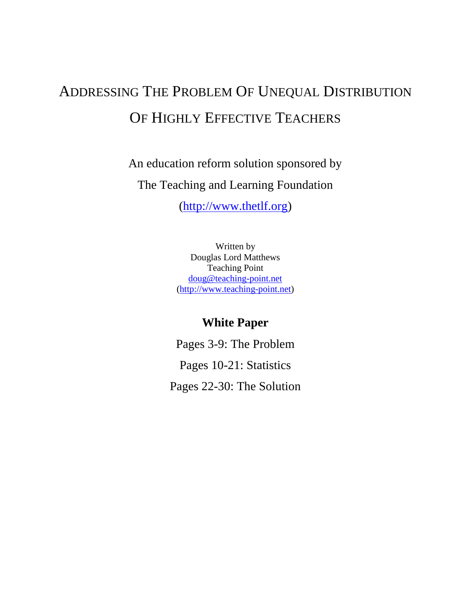# ADDRESSING THE PROBLEM OF UNEQUAL DISTRIBUTION OF HIGHLY EFFECTIVE TEACHERS

An education reform solution sponsored by The Teaching and Learning Foundation

[\(http://www.thetlf.org\)](http://www.thetlf.org/)

Written by Douglas Lord Matthews Teaching Point [doug@teaching-point.net](mailto:doug@teaching-point.net) [\(http://www.teaching-point.net\)](http://www.teaching-point.net/)

## **White Paper**

Pages 3-9: The Problem Pages 10-21: Statistics Pages 22-30: The Solution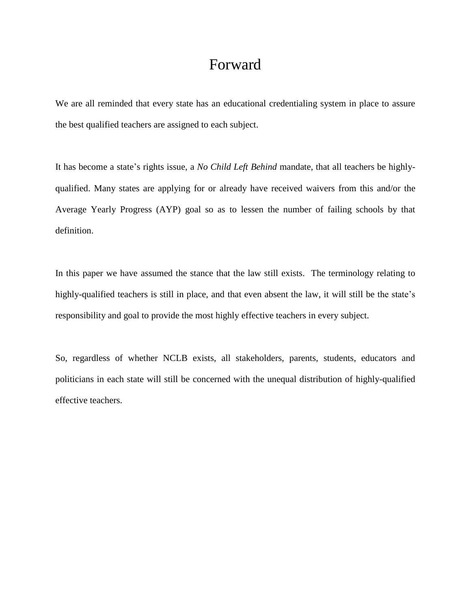## Forward

We are all reminded that every state has an educational credentialing system in place to assure the best qualified teachers are assigned to each subject.

It has become a state's rights issue, a *No Child Left Behind* mandate, that all teachers be highlyqualified. Many states are applying for or already have received waivers from this and/or the Average Yearly Progress (AYP) goal so as to lessen the number of failing schools by that definition.

In this paper we have assumed the stance that the law still exists. The terminology relating to highly-qualified teachers is still in place, and that even absent the law, it will still be the state's responsibility and goal to provide the most highly effective teachers in every subject.

So, regardless of whether NCLB exists, all stakeholders, parents, students, educators and politicians in each state will still be concerned with the unequal distribution of highly-qualified effective teachers.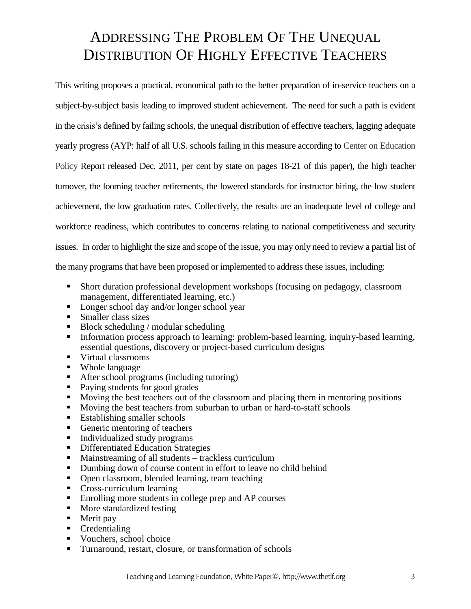## ADDRESSING THE PROBLEM OF THE UNEQUAL DISTRIBUTION OF HIGHLY EFFECTIVE TEACHERS

This writing proposes a practical, economical path to the better preparation of in-service teachers on a subject-by-subject basis leading to improved student achievement. The need for such a path is evident in the crisis's defined by failing schools, the unequal distribution of effective teachers, lagging adequate yearly progress (AYP: half of all U.S. schools failing in this measure according to Center on Education Policy Report released Dec. 2011, per cent by state on pages 18-21 of this paper), the high teacher turnover, the looming teacher retirements, the lowered standards for instructor hiring, the low student achievement, the low graduation rates. Collectively, the results are an inadequate level of college and workforce readiness, which contributes to concerns relating to national competitiveness and security issues. In order to highlight the size and scope of the issue, you may only need to review a partial list of the many programs that have been proposed or implemented to addressthese issues, including:

- Short duration professional development workshops (focusing on pedagogy, classroom management, differentiated learning, etc.)
- Longer school day and/or longer school year
- Smaller class sizes
- Block scheduling / modular scheduling
- Information process approach to learning: problem-based learning, inquiry-based learning, essential questions, discovery or project-based curriculum designs
- Virtual classrooms
- Whole language
- After school programs (including tutoring)
- Paying students for good grades
- Moving the best teachers out of the classroom and placing them in mentoring positions
- Moving the best teachers from suburban to urban or hard-to-staff schools
- Establishing smaller schools
- Generic mentoring of teachers
- Individualized study programs
- **Differentiated Education Strategies**
- Mainstreaming of all students trackless curriculum
- Dumbing down of course content in effort to leave no child behind
- Open classroom, blended learning, team teaching
- Cross-curriculum learning
- Enrolling more students in college prep and AP courses
- More standardized testing
- Merit pay
- Credentialing
- Vouchers, school choice
- Turnaround, restart, closure, or transformation of schools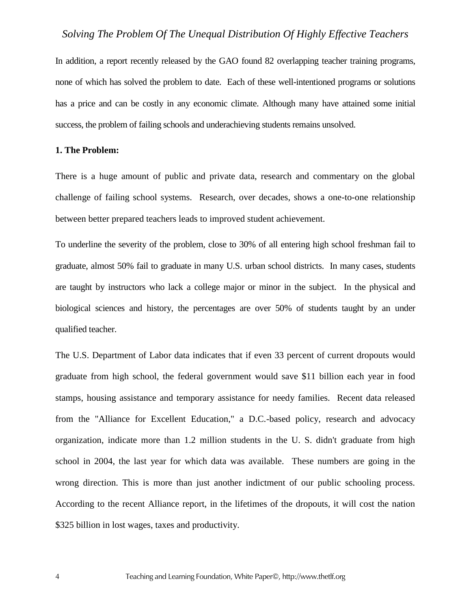In addition, a report recently released by the GAO found 82 overlapping teacher training programs, none of which has solved the problem to date. Each of these well-intentioned programs or solutions has a price and can be costly in any economic climate. Although many have attained some initial success, the problem of failing schools and underachieving students remains unsolved.

#### **1. The Problem:**

There is a huge amount of public and private data, research and commentary on the global challenge of failing school systems. Research, over decades, shows a one-to-one relationship between better prepared teachers leads to improved student achievement.

To underline the severity of the problem, close to 30% of all entering high school freshman fail to graduate, almost 50% fail to graduate in many U.S. urban school districts. In many cases, students are taught by instructors who lack a college major or minor in the subject. In the physical and biological sciences and history, the percentages are over 50% of students taught by an under qualified teacher.

The U.S. Department of Labor data indicates that if even 33 percent of current dropouts would graduate from high school, the federal government would save \$11 billion each year in food stamps, housing assistance and temporary assistance for needy families. Recent data released from the "Alliance for Excellent Education," a D.C.-based policy, research and advocacy organization, indicate more than 1.2 million students in the U. S. didn't graduate from high school in 2004, the last year for which data was available. These numbers are going in the wrong direction. This is more than just another indictment of our public schooling process. According to the recent Alliance report, in the lifetimes of the dropouts, it will cost the nation \$325 billion in lost wages, taxes and productivity.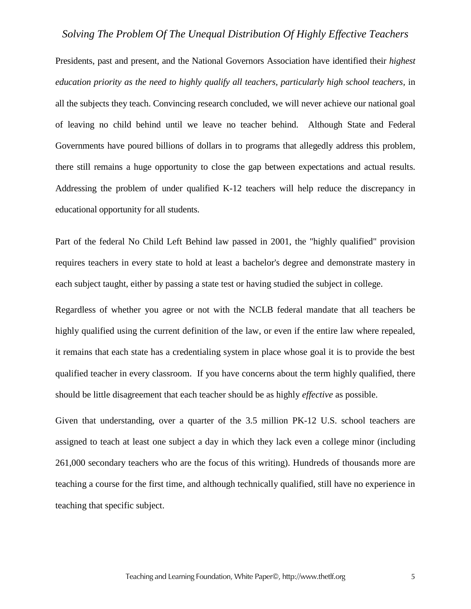Presidents, past and present, and the National Governors Association have identified their *highest education priority as the need to highly qualify all teachers, particularly high school teachers,* in all the subjects they teach. Convincing research concluded, we will never achieve our national goal of leaving no child behind until we leave no teacher behind. Although State and Federal Governments have poured billions of dollars in to programs that allegedly address this problem, there still remains a huge opportunity to close the gap between expectations and actual results. Addressing the problem of under qualified K-12 teachers will help reduce the discrepancy in educational opportunity for all students.

Part of the federal No Child Left Behind law passed in 2001, the "highly qualified" provision requires teachers in every state to hold at least a bachelor's degree and demonstrate mastery in each subject taught, either by passing a state test or having studied the subject in college.

Regardless of whether you agree or not with the NCLB federal mandate that all teachers be highly qualified using the current definition of the law, or even if the entire law where repealed, it remains that each state has a credentialing system in place whose goal it is to provide the best qualified teacher in every classroom. If you have concerns about the term highly qualified, there should be little disagreement that each teacher should be as highly *effective* as possible.

Given that understanding, over a quarter of the 3.5 million PK-12 U.S. school teachers are assigned to teach at least one subject a day in which they lack even a college minor (including 261,000 secondary teachers who are the focus of this writing). Hundreds of thousands more are teaching a course for the first time, and although technically qualified, still have no experience in teaching that specific subject.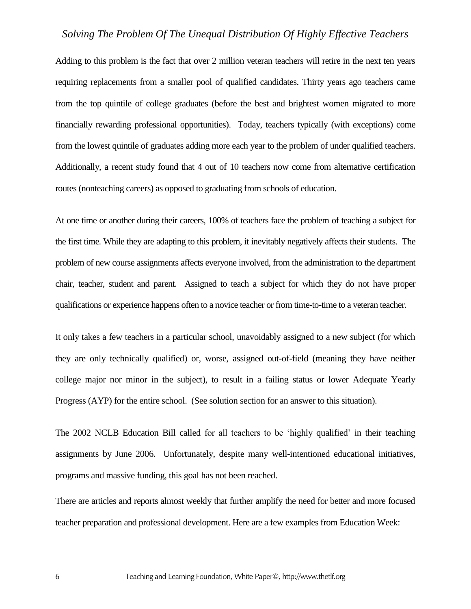Adding to this problem is the fact that over 2 million veteran teachers will retire in the next ten years requiring replacements from a smaller pool of qualified candidates. Thirty years ago teachers came from the top quintile of college graduates (before the best and brightest women migrated to more financially rewarding professional opportunities). Today, teachers typically (with exceptions) come from the lowest quintile of graduates adding more each year to the problem of under qualified teachers. Additionally, a recent study found that 4 out of 10 teachers now come from alternative certification routes (nonteaching careers) as opposed to graduating from schools of education.

At one time or another during their careers, 100% of teachers face the problem of teaching a subject for the first time. While they are adapting to this problem, it inevitably negatively affects their students. The problem of new course assignments affects everyone involved, from the administration to the department chair, teacher, student and parent. Assigned to teach a subject for which they do not have proper qualifications or experience happens often to a novice teacher or from time-to-time to a veteran teacher.

It only takes a few teachers in a particular school, unavoidably assigned to a new subject (for which they are only technically qualified) or, worse, assigned out-of-field (meaning they have neither college major nor minor in the subject), to result in a failing status or lower Adequate Yearly Progress (AYP) for the entire school. (See solution section for an answer to this situation).

The 2002 NCLB Education Bill called for all teachers to be 'highly qualified' in their teaching assignments by June 2006. Unfortunately, despite many well-intentioned educational initiatives, programs and massive funding, this goal has not been reached.

There are articles and reports almost weekly that further amplify the need for better and more focused teacher preparation and professional development. Here are a few examples from Education Week: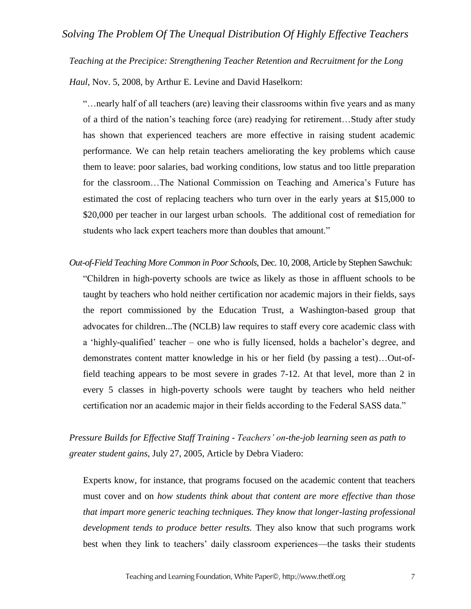*Teaching at the Precipice: Strengthening Teacher Retention and Recruitment for the Long* 

*Haul,* Nov. 5, 2008, by Arthur E. Levine and David Haselkorn:

"…nearly half of all teachers (are) leaving their classrooms within five years and as many of a third of the nation's teaching force (are) readying for retirement…Study after study has shown that experienced teachers are more effective in raising student academic performance. We can help retain teachers ameliorating the key problems which cause them to leave: poor salaries, bad working conditions, low status and too little preparation for the classroom…The National Commission on Teaching and America's Future has estimated the cost of replacing teachers who turn over in the early years at \$15,000 to \$20,000 per teacher in our largest urban schools. The additional cost of remediation for students who lack expert teachers more than doubles that amount."

*Out-of-Field Teaching More Common in Poor Schools,* Dec. 10, 2008, Article by Stephen Sawchuk: "Children in high-poverty schools are twice as likely as those in affluent schools to be taught by teachers who hold neither certification nor academic majors in their fields, says the report commissioned by the Education Trust, a Washington-based group that advocates for children...The (NCLB) law requires to staff every core academic class with a 'highly-qualified' teacher – one who is fully licensed, holds a bachelor's degree, and demonstrates content matter knowledge in his or her field (by passing a test)…Out-offield teaching appears to be most severe in grades 7-12. At that level, more than 2 in every 5 classes in high-poverty schools were taught by teachers who held neither certification nor an academic major in their fields according to the Federal SASS data."

*Pressure Builds for Effective Staff Training - Teachers' on-the-job learning seen as path to greater student gains,* July 27, 2005, Article by Debra Viadero:

Experts know, for instance, that programs focused on the academic content that teachers must cover and on *how students think about that content are more effective than those that impart more generic teaching techniques. They know that longer-lasting professional development tends to produce better results.* They also know that such programs work best when they link to teachers' daily classroom experiences—the tasks their students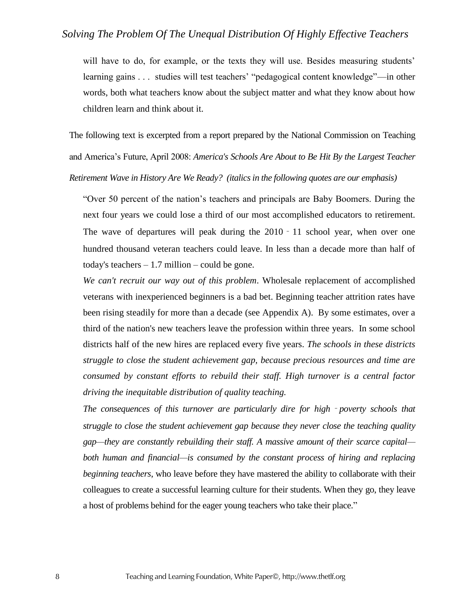will have to do, for example, or the texts they will use. Besides measuring students' learning gains . . . studies will test teachers' "pedagogical content knowledge"—in other words, both what teachers know about the subject matter and what they know about how children learn and think about it.

The following text is excerpted from a report prepared by the National Commission on Teaching and America's Future, April 2008: *America's Schools Are About to Be Hit By the Largest Teacher Retirement Wave in History Are We Ready? (italics in the following quotes are our emphasis)*

"Over 50 percent of the nation's teachers and principals are Baby Boomers. During the next four years we could lose a third of our most accomplished educators to retirement. The wave of departures will peak during the 2010 - 11 school year, when over one hundred thousand veteran teachers could leave. In less than a decade more than half of today's teachers  $-1.7$  million  $-$  could be gone.

*We can't recruit our way out of this problem*. Wholesale replacement of accomplished veterans with inexperienced beginners is a bad bet. Beginning teacher attrition rates have been rising steadily for more than a decade (see Appendix A). By some estimates, over a third of the nation's new teachers leave the profession within three years. In some school districts half of the new hires are replaced every five years. *The schools in these districts struggle to close the student achievement gap, because precious resources and time are consumed by constant efforts to rebuild their staff. High turnover is a central factor driving the inequitable distribution of quality teaching.*

*The consequences of this turnover are particularly dire for high*‐*poverty schools that struggle to close the student achievement gap because they never close the teaching quality gap—they are constantly rebuilding their staff. A massive amount of their scarce capital* both human and financial—is consumed by the constant process of hiring and replacing *beginning teachers*, who leave before they have mastered the ability to collaborate with their colleagues to create a successful learning culture for their students. When they go, they leave a host of problems behind for the eager young teachers who take their place."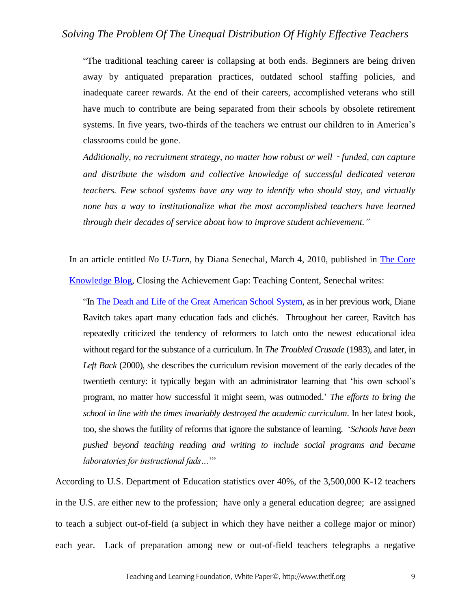"The traditional teaching career is collapsing at both ends. Beginners are being driven away by antiquated preparation practices, outdated school staffing policies, and inadequate career rewards. At the end of their careers, accomplished veterans who still have much to contribute are being separated from their schools by obsolete retirement systems. In five years, two-thirds of the teachers we entrust our children to in America's classrooms could be gone.

*Additionally, no recruitment strategy, no matter how robust or well*‐*funded, can capture and distribute the wisdom and collective knowledge of successful dedicated veteran teachers. Few school systems have any way to identify who should stay, and virtually none has a way to institutionalize what the most accomplished teachers have learned through their decades of service about how to improve student achievement."*

In an article entitled *No U-Turn*, by Diana Senechal, March 4, 2010, published in [The Core](http://blog.coreknowledge.org/)  [Knowledge Blog,](http://blog.coreknowledge.org/) Closing the Achievement Gap: Teaching Content, Senechal writes:

"In [The Death and Life of the Great American School System,](http://www.amazon.com/Death-Great-American-School-System/dp/0465014917/ref=sr_1_1?ie=UTF8&s=books&qid=1263989973&sr=8-1) as in her previous work, Diane Ravitch takes apart many education fads and clichés. Throughout her career, Ravitch has repeatedly criticized the tendency of reformers to latch onto the newest educational idea without regard for the substance of a curriculum. In *The Troubled Crusade* (1983), and later, in *Left Back* (2000), she describes the curriculum revision movement of the early decades of the twentieth century: it typically began with an administrator learning that 'his own school's program, no matter how successful it might seem, was outmoded.' *The efforts to bring the school in line with the times invariably destroyed the academic curriculum*. In her latest book, too, she shows the futility of reforms that ignore the substance of learning. '*Schools have been pushed beyond teaching reading and writing to include social programs and became laboratories for instructional fads…*'"

According to U.S. Department of Education statistics over 40%, of the 3,500,000 K-12 teachers in the U.S. are either new to the profession; have only a general education degree; are assigned to teach a subject out-of-field (a subject in which they have neither a college major or minor) each year. Lack of preparation among new or out-of-field teachers telegraphs a negative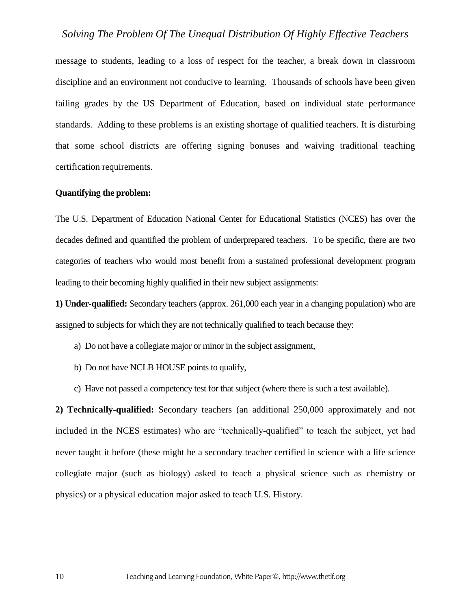message to students, leading to a loss of respect for the teacher, a break down in classroom discipline and an environment not conducive to learning. Thousands of schools have been given failing grades by the US Department of Education, based on individual state performance standards. Adding to these problems is an existing shortage of qualified teachers. It is disturbing that some school districts are offering signing bonuses and waiving traditional teaching certification requirements.

#### **Quantifying the problem:**

The U.S. Department of Education National Center for Educational Statistics (NCES) has over the decades defined and quantified the problem of underprepared teachers. To be specific, there are two categories of teachers who would most benefit from a sustained professional development program leading to their becoming highly qualified in their new subject assignments:

**1) Under-qualified:** Secondary teachers (approx. 261,000 each year in a changing population) who are assigned to subjects for which they are not technically qualified to teach because they:

- a) Do not have a collegiate major or minor in the subject assignment,
- b) Do not have NCLB HOUSE points to qualify,
- c) Have not passed a competency test for that subject (where there is such a test available).

**2) Technically-qualified:** Secondary teachers (an additional 250,000 approximately and not included in the NCES estimates) who are "technically-qualified" to teach the subject, yet had never taught it before (these might be a secondary teacher certified in science with a life science collegiate major (such as biology) asked to teach a physical science such as chemistry or physics) or a physical education major asked to teach U.S. History.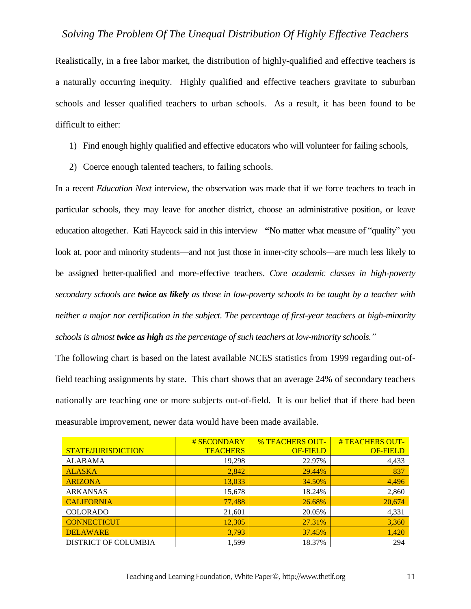Realistically, in a free labor market, the distribution of highly-qualified and effective teachers is a naturally occurring inequity. Highly qualified and effective teachers gravitate to suburban schools and lesser qualified teachers to urban schools. As a result, it has been found to be difficult to either:

- 1) Find enough highly qualified and effective educators who will volunteer for failing schools,
- 2) Coerce enough talented teachers, to failing schools.

In a recent *Education Next* interview, the observation was made that if we force teachers to teach in particular schools, they may leave for another district, choose an administrative position, or leave education altogether. Kati Haycock said in this interview **"**No matter what measure of "quality" you look at, poor and minority students—and not just those in inner-city schools—are much less likely to be assigned better-qualified and more-effective teachers. *Core academic classes in high-poverty secondary schools are twice as likely as those in low-poverty schools to be taught by a teacher with neither a major nor certification in the subject. The percentage of first-year teachers at high-minority schools is almost twice as high as the percentage of such teachers at low-minority schools."*

The following chart is based on the latest available NCES statistics from 1999 regarding out-offield teaching assignments by state. This chart shows that an average 24% of secondary teachers nationally are teaching one or more subjects out-of-field. It is our belief that if there had been measurable improvement, newer data would have been made available.

|                             | # SECONDARY     | <b>% TEACHERS OUT-</b> | # TEACHERS OUT- |
|-----------------------------|-----------------|------------------------|-----------------|
| STATE/JURISDICTION          | <b>TEACHERS</b> | <b>OF-FIELD</b>        | <b>OF-FIELD</b> |
| <b>ALABAMA</b>              | 19,298          | 22.97%                 | 4,433           |
| <b>ALASKA</b>               | 2,842           | 29.44%                 | 837             |
| <b>ARIZONA</b>              | 13,033          | 34.50%                 | 4,496           |
| <b>ARKANSAS</b>             | 15,678          | 18.24%                 | 2,860           |
| <b>CALIFORNIA</b>           | 77,488          | 26.68%                 | 20,674          |
| <b>COLORADO</b>             | 21,601          | 20.05%                 | 4,331           |
| <b>CONNECTICUT</b>          | 12,305          | 27.31%                 | 3,360           |
| <b>DELAWARE</b>             | 3,793           | 37.45%                 | 1,420           |
| <b>DISTRICT OF COLUMBIA</b> | 1,599           | 18.37%                 | 294             |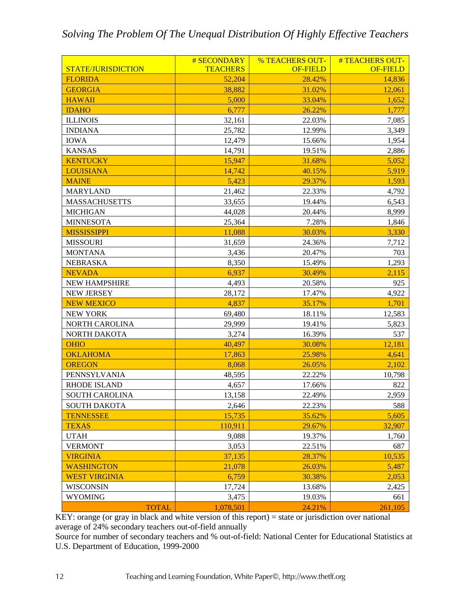|                       | # SECONDARY     | <b>% TEACHERS OUT-</b> | #TEACHERS OUT-  |
|-----------------------|-----------------|------------------------|-----------------|
| STATE/JURISDICTION    | <b>TEACHERS</b> | <b>OF-FIELD</b>        | <b>OF-FIELD</b> |
| <b>FLORIDA</b>        | 52,204          | 28.42%                 | 14,836          |
| <b>GEORGIA</b>        | 38,882          | 31.02%                 | 12,061          |
| <b>HAWAII</b>         | 5,000           | 33.04%                 | 1,652           |
| <b>IDAHO</b>          | 6,777           | 26.22%                 | 1,777           |
| <b>ILLINOIS</b>       | 32,161          | 22.03%                 | 7,085           |
| <b>INDIANA</b>        | 25,782          | 12.99%                 | 3,349           |
| <b>IOWA</b>           | 12,479          | 15.66%                 | 1,954           |
| <b>KANSAS</b>         | 14,791          | 19.51%                 | 2,886           |
| <b>KENTUCKY</b>       | 15,947          | 31.68%                 | 5,052           |
| <b>LOUISIANA</b>      | 14,742          | 40.15%                 | 5,919           |
| <b>MAINE</b>          | 5,423           | 29.37%                 | 1,593           |
| <b>MARYLAND</b>       | 21,462          | 22.33%                 | 4,792           |
| <b>MASSACHUSETTS</b>  | 33,655          | 19.44%                 | 6,543           |
| <b>MICHIGAN</b>       | 44,028          | 20.44%                 | 8,999           |
| <b>MINNESOTA</b>      | 25,364          | 7.28%                  | 1,846           |
| <b>MISSISSIPPI</b>    | 11,088          | 30.03%                 | 3,330           |
| <b>MISSOURI</b>       | 31,659          | 24.36%                 | 7,712           |
| <b>MONTANA</b>        | 3,436           | 20.47%                 | 703             |
| <b>NEBRASKA</b>       | 8,350           | 15.49%                 | 1,293           |
| <b>NEVADA</b>         | 6,937           | 30.49%                 | 2,115           |
| <b>NEW HAMPSHIRE</b>  | 4,493           | 20.58%                 | 925             |
| <b>NEW JERSEY</b>     | 28,172          | 17.47%                 | 4,922           |
| <b>NEW MEXICO</b>     | 4,837           | 35.17%                 | 1,701           |
| <b>NEW YORK</b>       | 69,480          | 18.11%                 | 12,583          |
| <b>NORTH CAROLINA</b> | 29,999          | 19.41%                 | 5,823           |
| NORTH DAKOTA          | 3,274           | 16.39%                 | 537             |
| <b>OHIO</b>           | 40,497          | 30.08%                 | 12,181          |
| <b>OKLAHOMA</b>       | 17,863          | 25.98%                 | 4,641           |
| <b>OREGON</b>         | 8,068           | 26.05%                 | 2,102           |
| PENNSYLVANIA          | 48,595          | 22.22%                 | 10,798          |
| <b>RHODE ISLAND</b>   | 4,657           | 17.66%                 | 822             |
| <b>SOUTH CAROLINA</b> | 13,158          | 22.49%                 | 2,959           |
| <b>SOUTH DAKOTA</b>   | 2,646           | 22.23%                 | 588             |
| <b>TENNESSEE</b>      | 15,735          | 35.62%                 | 5,605           |
| <b>TEXAS</b>          | 110,911         | 29.67%                 | 32,907          |
| <b>UTAH</b>           | 9,088           | 19.37%                 | 1,760           |
| <b>VERMONT</b>        | 3,053           | 22.51%                 | 687             |
| <b>VIRGINIA</b>       | 37,135          | 28.37%                 | 10,535          |
| <b>WASHINGTON</b>     | 21,078          | 26.03%                 | 5,487           |
| <b>WEST VIRGINIA</b>  | 6,759           | 30.38%                 | 2,053           |
| <b>WISCONSIN</b>      | 17,724          | 13.68%                 | 2,425           |
| <b>WYOMING</b>        | 3,475           | 19.03%                 | 661             |
| <b>TOTAL</b>          | 1,078,501       | 24.21%                 | 261,105         |

KEY: orange (or gray in black and white version of this report) = state or jurisdiction over national average of 24% secondary teachers out-of-field annually

Source for number of secondary teachers and % out-of-field: National Center for Educational Statistics at U.S. Department of Education, 1999-2000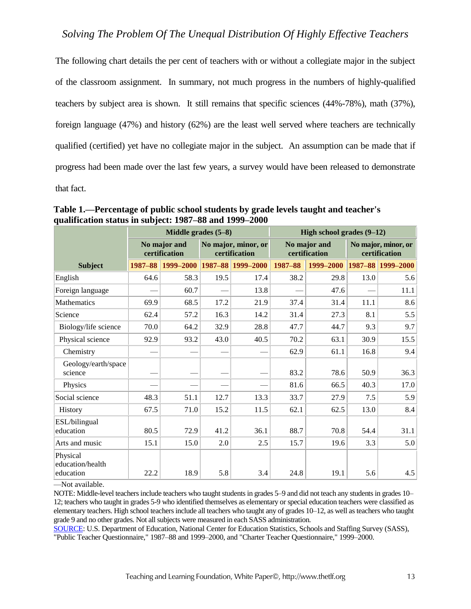The following chart details the per cent of teachers with or without a collegiate major in the subject of the classroom assignment. In summary, not much progress in the numbers of highly-qualified teachers by subject area is shown. It still remains that specific sciences (44%-78%), math (37%), foreign language (47%) and history (62%) are the least well served where teachers are technically qualified (certified) yet have no collegiate major in the subject. An assumption can be made that if progress had been made over the last few years, a survey would have been released to demonstrate that fact.

|                                           |             | Middle grades $(5-8)$         |                                      |                   | High school grades $(9-12)$   |           |                                      |                   |  |
|-------------------------------------------|-------------|-------------------------------|--------------------------------------|-------------------|-------------------------------|-----------|--------------------------------------|-------------------|--|
|                                           |             | No major and<br>certification | No major, minor, or<br>certification |                   | No major and<br>certification |           | No major, minor, or<br>certification |                   |  |
| <b>Subject</b>                            | $1987 - 88$ | 1999-2000                     |                                      | 1987-88 1999-2000 | 1987-88                       | 1999-2000 |                                      | 1987-88 1999-2000 |  |
| English                                   | 64.6        | 58.3                          | 19.5                                 | 17.4              | 38.2                          | 29.8      | 13.0                                 | 5.6               |  |
| Foreign language                          |             | 60.7                          |                                      | 13.8              |                               | 47.6      |                                      | 11.1              |  |
| Mathematics                               | 69.9        | 68.5                          | 17.2                                 | 21.9              | 37.4                          | 31.4      | 11.1                                 | 8.6               |  |
| Science                                   | 62.4        | 57.2                          | 16.3                                 | 14.2              | 31.4                          | 27.3      | 8.1                                  | 5.5               |  |
| Biology/life science                      | 70.0        | 64.2                          | 32.9                                 | 28.8              | 47.7                          | 44.7      | 9.3                                  | 9.7               |  |
| Physical science                          | 92.9        | 93.2                          | 43.0                                 | 40.5              | 70.2                          | 63.1      | 30.9                                 | 15.5              |  |
| Chemistry                                 |             |                               |                                      |                   | 62.9                          | 61.1      | 16.8                                 | 9.4               |  |
| Geology/earth/space<br>science            |             |                               |                                      |                   | 83.2                          | 78.6      | 50.9                                 | 36.3              |  |
| Physics                                   |             |                               |                                      |                   | 81.6                          | 66.5      | 40.3                                 | 17.0              |  |
| Social science                            | 48.3        | 51.1                          | 12.7                                 | 13.3              | 33.7                          | 27.9      | 7.5                                  | 5.9               |  |
| History                                   | 67.5        | 71.0                          | 15.2                                 | 11.5              | 62.1                          | 62.5      | 13.0                                 | 8.4               |  |
| ESL/bilingual<br>education                | 80.5        | 72.9                          | 41.2                                 | 36.1              | 88.7                          | 70.8      | 54.4                                 | 31.1              |  |
| Arts and music                            | 15.1        | 15.0                          | 2.0                                  | 2.5               | 15.7                          | 19.6      | 3.3                                  | 5.0               |  |
| Physical<br>education/health<br>education | 22.2        | 18.9                          | 5.8                                  | 3.4               | 24.8                          | 19.1      | 5.6                                  | 4.5               |  |

**Table 1.—Percentage of public school students by grade levels taught and teacher's qualification status in subject: 1987–88 and 1999–2000**

—Not available.

NOTE: Middle-level teachers include teachers who taught students in grades 5–9 and did not teach any students in grades 10– 12; teachers who taught in grades 5-9 who identified themselves as elementary or special education teachers were classified as elementary teachers. High school teachers include all teachers who taught any of grades 10–12, as well as teachers who taught grade 9 and no other grades. Not all subjects were measured in each SASS administration.

[SOURCE:](http://nces.ed.gov/surveys/sass/) U.S. Department of Education, National Center for Education Statistics, Schools and Staffing Survey (SASS), "Public Teacher Questionnaire," 1987–88 and 1999–2000, and "Charter Teacher Questionnaire," 1999–2000.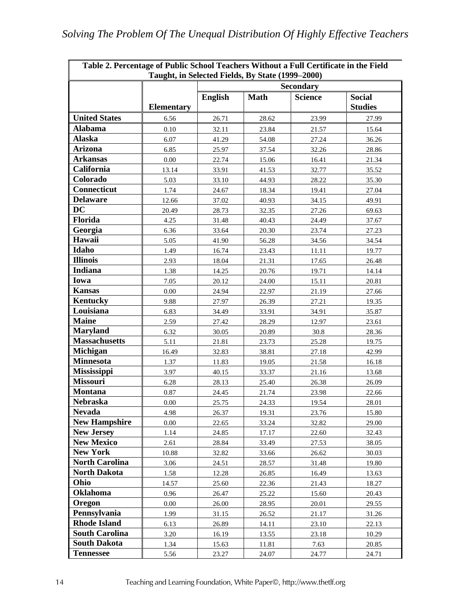|                       | Taught, in Selected Fields, By State (1999–2000) |                  |             |                |                                 |  |  |  |
|-----------------------|--------------------------------------------------|------------------|-------------|----------------|---------------------------------|--|--|--|
|                       |                                                  | <b>Secondary</b> |             |                |                                 |  |  |  |
|                       | <b>Elementary</b>                                | <b>English</b>   | <b>Math</b> | <b>Science</b> | <b>Social</b><br><b>Studies</b> |  |  |  |
| <b>United States</b>  | 6.56                                             | 26.71            | 28.62       | 23.99          | 27.99                           |  |  |  |
| <b>Alabama</b>        | 0.10                                             | 32.11            | 23.84       | 21.57          | 15.64                           |  |  |  |
| <b>Alaska</b>         | 6.07                                             | 41.29            | 54.08       | 27.24          | 36.26                           |  |  |  |
| Arizona               | 6.85                                             | 25.97            | 37.54       | 32.26          | 28.86                           |  |  |  |
| <b>Arkansas</b>       | 0.00                                             | 22.74            | 15.06       | 16.41          | 21.34                           |  |  |  |
| California            | 13.14                                            | 33.91            | 41.53       | 32.77          | 35.52                           |  |  |  |
| Colorado              | 5.03                                             | 33.10            | 44.93       | 28.22          | 35.30                           |  |  |  |
| Connecticut           | 1.74                                             | 24.67            | 18.34       | 19.41          | 27.04                           |  |  |  |
| <b>Delaware</b>       | 12.66                                            | 37.02            | 40.93       | 34.15          | 49.91                           |  |  |  |
| <b>DC</b>             | 20.49                                            | 28.73            | 32.35       | 27.26          | 69.63                           |  |  |  |
| Florida               | 4.25                                             | 31.48            | 40.43       | 24.49          | 37.67                           |  |  |  |
| Georgia               | 6.36                                             | 33.64            | 20.30       | 23.74          | 27.23                           |  |  |  |
| Hawaii                | 5.05                                             | 41.90            | 56.28       | 34.56          | 34.54                           |  |  |  |
| Idaho                 | 1.49                                             | 16.74            | 23.43       | 11.11          | 19.77                           |  |  |  |
| <b>Illinois</b>       | 2.93                                             | 18.04            | 21.31       | 17.65          | 26.48                           |  |  |  |
| Indiana               | 1.38                                             | 14.25            | 20.76       | 19.71          | 14.14                           |  |  |  |
| Iowa                  | 7.05                                             | 20.12            | 24.00       | 15.11          | 20.81                           |  |  |  |
| <b>Kansas</b>         | 0.00                                             | 24.94            | 22.97       | 21.19          | 27.66                           |  |  |  |
| Kentucky              | 9.88                                             | 27.97            | 26.39       | 27.21          | 19.35                           |  |  |  |
| Louisiana             | 6.83                                             | 34.49            | 33.91       | 34.91          | 35.87                           |  |  |  |
| <b>Maine</b>          | 2.59                                             | 27.42            | 28.29       | 12.97          | 23.61                           |  |  |  |
| <b>Maryland</b>       | 6.32                                             | 30.05            | 20.89       | 30.8           | 28.36                           |  |  |  |
| <b>Massachusetts</b>  | 5.11                                             | 21.81            | 23.73       | 25.28          | 19.75                           |  |  |  |
| <b>Michigan</b>       | 16.49                                            | 32.83            | 38.81       | 27.18          | 42.99                           |  |  |  |
| <b>Minnesota</b>      | 1.37                                             | 11.83            | 19.05       | 21.58          | 16.18                           |  |  |  |
| <b>Mississippi</b>    | 3.97                                             | 40.15            | 33.37       | 21.16          | 13.68                           |  |  |  |
| <b>Missouri</b>       | 6.28                                             | 28.13            | 25.40       | 26.38          | 26.09                           |  |  |  |
| <b>Montana</b>        | 0.87                                             | 24.45            | 21.74       | 23.98          | 22.66                           |  |  |  |
| <b>Nebraska</b>       | 0.00                                             | 25.75            | 24.33       | 19.54          | 28.01                           |  |  |  |
| <b>Nevada</b>         | 4.98                                             | 26.37            | 19.31       | 23.76          | 15.80                           |  |  |  |
| <b>New Hampshire</b>  | 0.00                                             | 22.65            | 33.24       | 32.82          | 29.00                           |  |  |  |
| <b>New Jersey</b>     | 1.14                                             | 24.85            | 17.17       | 22.60          | 32.43                           |  |  |  |
| <b>New Mexico</b>     | 2.61                                             | 28.84            | 33.49       | 27.53          | 38.05                           |  |  |  |
| <b>New York</b>       | 10.88                                            | 32.82            | 33.66       | 26.62          | 30.03                           |  |  |  |
| <b>North Carolina</b> | 3.06                                             | 24.51            | 28.57       | 31.48          | 19.80                           |  |  |  |
| <b>North Dakota</b>   | 1.58                                             | 12.28            | 26.85       | 16.49          | 13.63                           |  |  |  |
| Ohio                  | 14.57                                            | 25.60            | 22.36       | 21.43          | 18.27                           |  |  |  |
| <b>Oklahoma</b>       | 0.96                                             | 26.47            | 25.22       | 15.60          | 20.43                           |  |  |  |
| Oregon                | 0.00                                             | 26.00            | 28.95       | 20.01          | 29.55                           |  |  |  |
| Pennsylvania          | 1.99                                             | 31.15            | 26.52       | 21.17          | 31.26                           |  |  |  |
| <b>Rhode Island</b>   | 6.13                                             | 26.89            | 14.11       | 23.10          | 22.13                           |  |  |  |
| <b>South Carolina</b> | 3.20                                             | 16.19            | 13.55       | 23.18          | 10.29                           |  |  |  |
| <b>South Dakota</b>   | 1.34                                             | 15.63            | 11.81       | 7.63           | 20.85                           |  |  |  |
| <b>Tennessee</b>      | 5.56                                             | 23.27            | 24.07       | 24.77          | 24.71                           |  |  |  |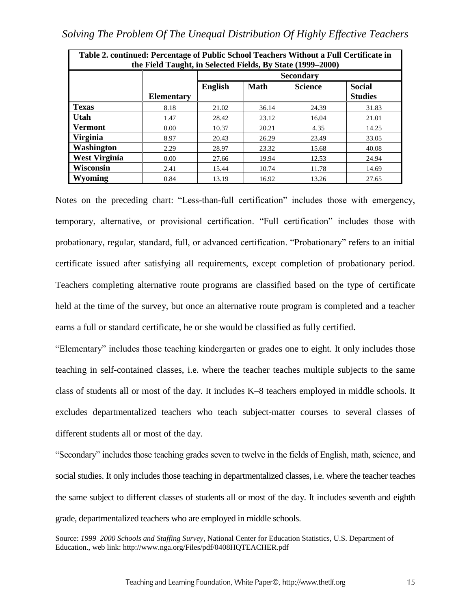| Table 2. continued: Percentage of Public School Teachers Without a Full Certificate in<br>the Field Taught, in Selected Fields, By State (1999–2000) |                   |                |                  |                |                |  |  |
|------------------------------------------------------------------------------------------------------------------------------------------------------|-------------------|----------------|------------------|----------------|----------------|--|--|
|                                                                                                                                                      |                   |                | <b>Secondary</b> |                |                |  |  |
|                                                                                                                                                      |                   | <b>English</b> | <b>Math</b>      | <b>Science</b> | <b>Social</b>  |  |  |
|                                                                                                                                                      | <b>Elementary</b> |                |                  |                | <b>Studies</b> |  |  |
| <b>Texas</b>                                                                                                                                         | 8.18              | 21.02          | 36.14            | 24.39          | 31.83          |  |  |
| Utah                                                                                                                                                 | 1.47              | 28.42          | 23.12            | 16.04          | 21.01          |  |  |
| <b>Vermont</b>                                                                                                                                       | 0.00              | 10.37          | 20.21            | 4.35           | 14.25          |  |  |
| <b>Virginia</b>                                                                                                                                      | 8.97              | 20.43          | 26.29            | 23.49          | 33.05          |  |  |
| Washington                                                                                                                                           | 2.29              | 28.97          | 23.32            | 15.68          | 40.08          |  |  |
| <b>West Virginia</b>                                                                                                                                 | 0.00              | 27.66          | 19.94            | 12.53          | 24.94          |  |  |
| Wisconsin                                                                                                                                            | 2.41              | 15.44          | 10.74            | 11.78          | 14.69          |  |  |
| <b>Wyoming</b>                                                                                                                                       | 0.84              | 13.19          | 16.92            | 13.26          | 27.65          |  |  |

Notes on the preceding chart: "Less-than-full certification" includes those with emergency, temporary, alternative, or provisional certification. "Full certification" includes those with probationary, regular, standard, full, or advanced certification. "Probationary" refers to an initial certificate issued after satisfying all requirements, except completion of probationary period. Teachers completing alternative route programs are classified based on the type of certificate held at the time of the survey, but once an alternative route program is completed and a teacher earns a full or standard certificate, he or she would be classified as fully certified.

"Elementary" includes those teaching kindergarten or grades one to eight. It only includes those teaching in self-contained classes, i.e. where the teacher teaches multiple subjects to the same class of students all or most of the day. It includes K–8 teachers employed in middle schools. It excludes departmentalized teachers who teach subject-matter courses to several classes of different students all or most of the day.

"Secondary" includes those teaching grades seven to twelve in the fields of English, math, science, and social studies. It only includes those teaching in departmentalized classes, i.e. where the teacher teaches the same subject to different classes of students all or most of the day. It includes seventh and eighth grade, departmentalized teachers who are employed in middle schools.

Source: *1999–2000 Schools and Staffing Survey*, National Center for Education Statistics, U.S. Department of Education., web link: http://www.nga.org/Files/pdf/0408HQTEACHER.pdf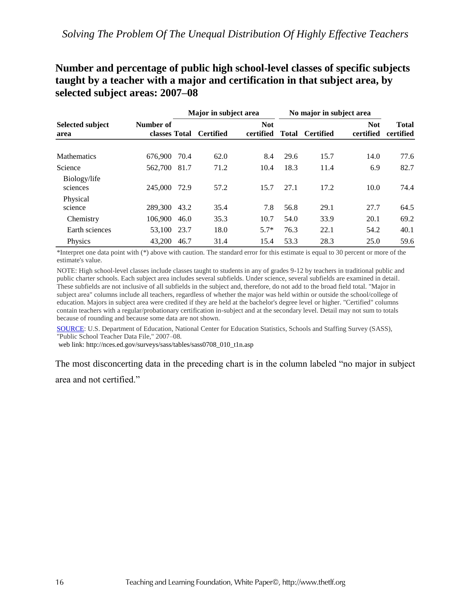## **Number and percentage of public high school-level classes of specific subjects taught by a teacher with a major and certification in that subject area, by selected subject areas: 2007–08**

|                                 |                            | Major in subject area |                  |                         | No major in subject area |                  |                         |                           |
|---------------------------------|----------------------------|-----------------------|------------------|-------------------------|--------------------------|------------------|-------------------------|---------------------------|
| <b>Selected subject</b><br>area | Number of<br>classes Total |                       | <b>Certified</b> | <b>Not</b><br>certified | <b>Total</b>             | <b>Certified</b> | <b>Not</b><br>certified | <b>Total</b><br>certified |
| <b>Mathematics</b>              | 676,900                    | 70.4                  | 62.0             | 8.4                     | 29.6                     | 15.7             | 14.0                    | 77.6                      |
| Science                         | 562,700                    | 81.7                  | 71.2             | 10.4                    | 18.3                     | 11.4             | 6.9                     | 82.7                      |
| Biology/life<br>sciences        | 245,000                    | 72.9                  | 57.2             | 15.7                    | 27.1                     | 17.2             | 10.0                    | 74.4                      |
| Physical<br>science             | 289,300 43.2               |                       | 35.4             | 7.8                     | 56.8                     | 29.1             | 27.7                    | 64.5                      |
| Chemistry                       | 106,900                    | 46.0                  | 35.3             | 10.7                    | 54.0                     | 33.9             | 20.1                    | 69.2                      |
| Earth sciences                  | 53,100 23.7                |                       | 18.0             | $5.7*$                  | 76.3                     | 22.1             | 54.2                    | 40.1                      |
| Physics                         | 43,200                     | 46.7                  | 31.4             | 15.4                    | 53.3                     | 28.3             | 25.0                    | 59.6                      |

\*Interpret one data point with (\*) above with caution. The standard error for this estimate is equal to 30 percent or more of the estimate's value.

NOTE: High school-level classes include classes taught to students in any of grades 9-12 by teachers in traditional public and public charter schools. Each subject area includes several subfields. Under science, several subfields are examined in detail. These subfields are not inclusive of all subfields in the subject and, therefore, do not add to the broad field total. "Major in subject area" columns include all teachers, regardless of whether the major was held within or outside the school/college of education. Majors in subject area were credited if they are held at the bachelor's degree level or higher. "Certified" columns contain teachers with a regular/probationary certification in-subject and at the secondary level. Detail may not sum to totals because of rounding and because some data are not shown.

[SOURCE:](http://nces.ed.gov/surveys/sass/) U.S. Department of Education, National Center for Education Statistics, Schools and Staffing Survey (SASS), "Public School Teacher Data File," 2007–08.

web link: http://nces.ed.gov/surveys/sass/tables/sass0708\_010\_t1n.asp

The most disconcerting data in the preceding chart is in the column labeled "no major in subject

area and not certified."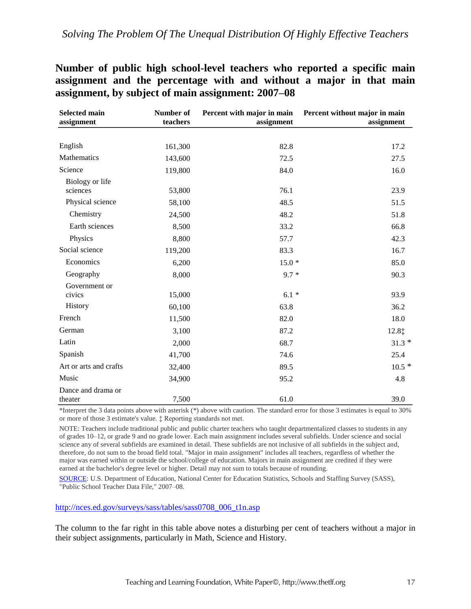**Number of public high school-level teachers who reported a specific main assignment and the percentage with and without a major in that main assignment, by subject of main assignment: 2007–08**

| <b>Selected main</b><br>assignment | Number of<br>teachers | Percent with major in main<br>assignment | Percent without major in main<br>assignment |
|------------------------------------|-----------------------|------------------------------------------|---------------------------------------------|
|                                    |                       |                                          |                                             |
| English                            | 161,300               | 82.8                                     | 17.2                                        |
| Mathematics                        | 143,600               | 72.5                                     | 27.5                                        |
| Science                            | 119,800               | 84.0                                     | 16.0                                        |
| Biology or life<br>sciences        | 53,800                | 76.1                                     | 23.9                                        |
| Physical science                   | 58,100                | 48.5                                     | 51.5                                        |
| Chemistry                          | 24,500                | 48.2                                     | 51.8                                        |
| Earth sciences                     | 8,500                 | 33.2                                     | 66.8                                        |
| Physics                            | 8,800                 | 57.7                                     | 42.3                                        |
| Social science                     | 119,200               | 83.3                                     | 16.7                                        |
| Economics                          | 6,200                 | $15.0*$                                  | 85.0                                        |
| Geography                          | 8,000                 | $9.7 *$                                  | 90.3                                        |
| Government or<br>civics            | 15,000                | $6.1*$                                   | 93.9                                        |
| History                            | 60,100                | 63.8                                     | 36.2                                        |
| French                             | 11,500                | 82.0                                     | 18.0                                        |
| German                             | 3,100                 | 87.2                                     | 12.8‡                                       |
| Latin                              | 2,000                 | 68.7                                     | $31.3*$                                     |
| Spanish                            | 41,700                | 74.6                                     | 25.4                                        |
| Art or arts and crafts             | 32,400                | 89.5                                     | $10.5*$                                     |
| Music                              | 34,900                | 95.2                                     | 4.8                                         |
| Dance and drama or<br>theater      | 7,500                 | 61.0                                     | 39.0                                        |

\*Interpret the 3 data points above with asterisk (\*) above with caution. The standard error for those 3 estimates is equal to 30% or more of those 3 estimate's value. ‡ Reporting standards not met.

NOTE: Teachers include traditional public and public charter teachers who taught departmentalized classes to students in any of grades 10–12, or grade 9 and no grade lower. Each main assignment includes several subfields. Under science and social science any of several subfields are examined in detail. These subfields are not inclusive of all subfields in the subject and, therefore, do not sum to the broad field total. "Major in main assignment" includes all teachers, regardless of whether the major was earned within or outside the school/college of education. Majors in main assignment are credited if they were earned at the bachelor's degree level or higher. Detail may not sum to totals because of rounding.

[SOURCE:](http://nces.ed.gov/surveys/sass) U.S. Department of Education, National Center for Education Statistics, Schools and Staffing Survey (SASS), "Public School Teacher Data File," 2007–08.

#### [http://nces.ed.gov/surveys/sass/tables/sass0708\\_006\\_t1n.asp](http://nces.ed.gov/surveys/sass/tables/sass0708_006_t1n.asp)

The column to the far right in this table above notes a disturbing per cent of teachers without a major in their subject assignments, particularly in Math, Science and History.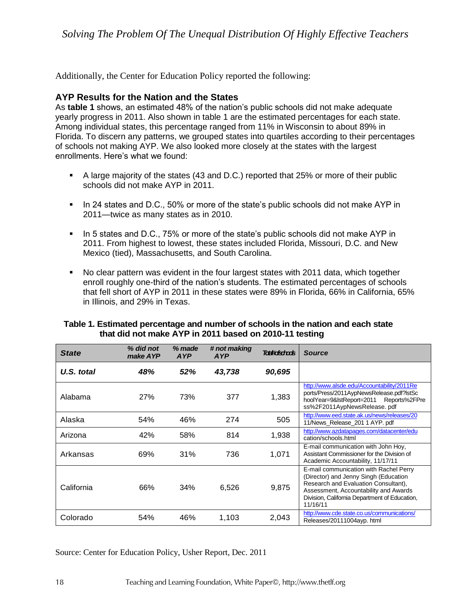Additionally, the Center for Education Policy reported the following:

#### **AYP Results for the Nation and the States**

As **table 1** shows, an estimated 48% of the nation's public schools did not make adequate yearly progress in 2011. Also shown in table 1 are the estimated percentages for each state. Among individual states, this percentage ranged from 11% in Wisconsin to about 89% in Florida. To discern any patterns, we grouped states into quartiles according to their percentages of schools not making AYP. We also looked more closely at the states with the largest enrollments. Here's what we found:

- **•** A large majority of the states (43 and D.C.) reported that 25% or more of their public schools did not make AYP in 2011.
- **.** In 24 states and D.C., 50% or more of the state's public schools did not make AYP in 2011—twice as many states as in 2010.
- In 5 states and D.C., 75% or more of the state's public schools did not make AYP in 2011. From highest to lowest, these states included Florida, Missouri, D.C. and New Mexico (tied), Massachusetts, and South Carolina.
- No clear pattern was evident in the four largest states with 2011 data, which together enroll roughly one-third of the nation's students. The estimated percentages of schools that fell short of AYP in 2011 in these states were 89% in Florida, 66% in California, 65% in Illinois, and 29% in Texas.

| <b>State</b> | % did not<br>make AYP | % made<br><b>AYP</b> | # not making<br><b>AYP</b> | <b>Total tofschoots</b> | <b>Source</b>                                                                                                                                                                                                                 |
|--------------|-----------------------|----------------------|----------------------------|-------------------------|-------------------------------------------------------------------------------------------------------------------------------------------------------------------------------------------------------------------------------|
| U.S. total   | 48%                   | 52%                  | 43,738                     | 90,695                  |                                                                                                                                                                                                                               |
| Alabama      | <b>27%</b>            | 73%                  | 377                        | 1,383                   | http://www.alsde.edu/Accountability/2011Re<br>ports/Press/2011AypNewsRelease.pdf?lstSc<br>hoolYear=9&lstReport=2011 Reports%2FPre<br>ss%2F2011AypNewsRelease.pdf                                                              |
| Alaska       | 54%                   | 46%                  | 274                        | 505                     | http://www.eed.state.ak.us/news/releases/20<br>11/News_Release_201 1 AYP. pdf                                                                                                                                                 |
| Arizona      | 42%                   | 58%                  | 814                        | 1,938                   | http://www.azdatapages.com/datacenter/edu<br>cation/schools.html                                                                                                                                                              |
| Arkansas     | 69%                   | 31%                  | 736                        | 1,071                   | E-mail communication with John Hoy,<br>Assistant Commissioner for the Division of<br>Academic Accountability, 11/17/11                                                                                                        |
| California   | 66%                   | 34%                  | 6,526                      | 9,875                   | E-mail communication with Rachel Perry<br>(Director) and Jenny Singh (Education<br>Research and Evaluation Consultant),<br>Assessment, Accountability and Awards<br>Division, California Department of Education,<br>11/16/11 |
| Colorado     | 54%                   | 46%                  | 1,103                      | 2,043                   | http://www.cde.state.co.us/communications/<br>Releases/20111004ayp. html                                                                                                                                                      |

#### **Table 1. Estimated percentage and number of schools in the nation and each state that did not make AYP in 2011 based on 2010-11 testing**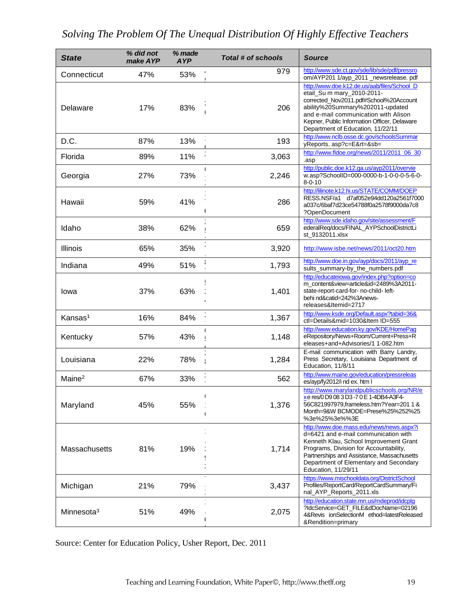| <b>State</b>           | % did not<br>make AYP | % made<br><b>AYP</b> | Total # of schools | <b>Source</b>                                                                                                                                                                                                                                                                        |
|------------------------|-----------------------|----------------------|--------------------|--------------------------------------------------------------------------------------------------------------------------------------------------------------------------------------------------------------------------------------------------------------------------------------|
| Connecticut            | 47%                   | 53%                  | 979                | http://www.sde.ct.gov/sde/lib/sde/pdf/pressro<br>om/AYP201 1/ayp_2011 _newsrelease. pdf                                                                                                                                                                                              |
| Delaware               | 17%                   | 83%                  | 206                | http://www.doe.k12.de.us/aab/files/School_D<br>etail_Su m mary_2010-2011-<br>corrected_Nov2011.pdf#School%20Account<br>ability%20Summary%202011-updated<br>and e-mail communication with Alison<br>Kepner, Public Information Officer, Delaware<br>Department of Education, 11/22/11 |
| D.C.                   | 87%                   | 13%                  | 193                | http://www.nclb.osse.dc.gov/schoolsSummar<br>yReports. asp?c=E&rt=&sb=                                                                                                                                                                                                               |
| Florida                | 89%                   | 11%                  | 3,063              | http://www.fldoe.org/news/2011/2011_06_30<br>.asp                                                                                                                                                                                                                                    |
| Georgia                | 27%                   | 73%                  | 2,246              | http://public.doe.k12.ga.us/ayp2011/overvie<br>w.asp?SchoolID=000-0000-b-1-0-0-0-5-6-0-<br>$8 - 0 - 10$                                                                                                                                                                              |
| Hawaii                 | 59%                   | 41%                  | 286                | http://lilinote.k12.hi.us/STATE/COMM/DOEP<br>RESS.NSF/a1 d7af052e94dd120a2561f7000<br>a037c/6baf7d23ce54788f0a2578f9000da7c8<br>?OpenDocument                                                                                                                                        |
| Idaho                  | 38%                   | 62%                  | 659                | http://www.sde.idaho.gov/site/assessment/F<br>ederalReq/docs/FINAL_AYPSchoolDistrictLi<br>st_9132011.xlsx                                                                                                                                                                            |
| Illinois               | 65%                   | 35%                  | 3,920              | http://www.isbe.net/news/2011/oct20.htm                                                                                                                                                                                                                                              |
| Indiana                | 49%                   | 51%                  | 1,793              | http://www.doe.in.gov/ayp/docs/2011/ayp_re<br>sults_summary-by_the_numbers.pdf                                                                                                                                                                                                       |
| lowa                   | 37%                   | 63%                  | 1,401              | http://educateiowa.gov/index.php?option=co<br>m content&view=article&id=2489%3A2011-<br>state-report-card-for-no-child-left-<br>behi nd&catid=242%3Anews-<br>releases&Itemid=2717                                                                                                    |
| Kansas <sup>1</sup>    | 16%                   | 84%                  | 1,367              | http://www.ksde.org/Default.aspx?tabid=36&<br>ctl=Details∣=1030&Item ID=555                                                                                                                                                                                                          |
| Kentucky               | 57%                   | 43%                  | 1,148              | http://www.education.ky.gov/KDE/HomePag<br>eRepository/News+Room/Current+Press+R<br>eleases+and+Advisories/1 1-082.htm                                                                                                                                                               |
| Louisiana              | 22%                   | 78%                  | 1,284              | E-mail communication with Barry Landry,<br>Press Secretary, Louisiana Department of<br>Education, 11/8/11                                                                                                                                                                            |
| Maine <sup>2</sup>     | 67%                   | 33%                  | 562                | http://www.maine.gov/education/pressreleas<br>es/ayp/fy2012/i nd ex. htm I                                                                                                                                                                                                           |
| Maryland               | 45%                   | 55%                  | 1,376              | http://www.marylandpublicschools.org/NR/e<br>xe res/0 D9 08 3 D3 -7 0 E 1-4DB4-A3F4-<br>56C821997979, frameless.htm?Year=201 1 &<br>Month=9&W BCMODE=Prese%25%252%25<br>%3e%25%3e%%3E                                                                                                |
| Massachusetts          | 81%                   | 19%                  | 1,714              | http://www.doe.mass.edu/news/news.aspx?i<br>d=6421 and e-mail communication with<br>Kenneth Klau, School Improvement Grant<br>Programs, Division for Accountability,<br>Partnerships and Assistance, Massachusetts<br>Department of Elementary and Secondary<br>Education, 11/29/11  |
| Michigan               | 21%                   | 79%                  | 3,437              | https://www.mischooldata.org/DistrictSchool<br>Profiles/ReportCard/ReportCardSummary/Fi<br>nal_AYP_Reports_2011.xls                                                                                                                                                                  |
| Minnesota <sup>3</sup> | 51%                   | 49%                  | 2,075              | http://education.state.mn.us/mdeprod/idcplg<br>?IdcService=GET_FILE&dDocName=02196<br>4&Revis ionSelectionM ethod=latestReleased<br>&Rendition=primary                                                                                                                               |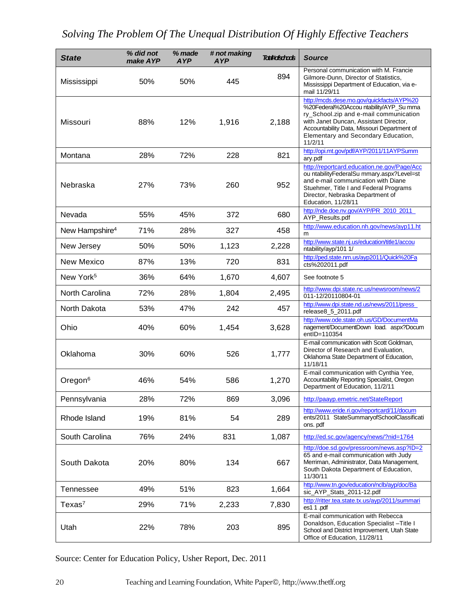| <b>State</b>               | % did not<br>make AYP | % made<br><b>AYP</b> | # not making<br><b>AYP</b> | <b>Toutkoischools</b> | <b>Source</b>                                                                                                                                                                                                                                                             |
|----------------------------|-----------------------|----------------------|----------------------------|-----------------------|---------------------------------------------------------------------------------------------------------------------------------------------------------------------------------------------------------------------------------------------------------------------------|
| Mississippi                | 50%                   | 50%                  | 445                        | 894                   | Personal communication with M. Francie<br>Gilmore-Dunn, Director of Statistics,<br>Mississippi Department of Education, via e-<br>mail 11/29/11                                                                                                                           |
| Missouri                   | 88%                   | 12%                  | 1,916                      | 2,188                 | http://mcds.dese.mo.gov/quickfacts/AYP%20<br>%20Federal%20Accou ntability/AYP_Su mma<br>ry_School.zip and e-mail communication<br>with Janet Duncan, Assistant Director,<br>Accountability Data, Missouri Department of<br>Elementary and Secondary Education,<br>11/2/11 |
| Montana                    | 28%                   | 72%                  | 228                        | 821                   | http://opi.mt.gov/pdf/AYP/2011/11AYPSumm<br>ary.pdf                                                                                                                                                                                                                       |
| Nebraska                   | 27%                   | 73%                  | 260                        | 952                   | http://reportcard.education.ne.gov/Page/Acc<br>ou ntabilityFederalSu mmary.aspx?Level=st<br>and e-mail communication with Diane<br>Stuehmer, Title I and Federal Programs<br>Director, Nebraska Department of<br>Education, 11/28/11                                      |
| Nevada                     | 55%                   | 45%                  | 372                        | 680                   | http://nde.doe.nv.gov/AYP/PR_2010_2011<br>AYP_Results.pdf                                                                                                                                                                                                                 |
| New Hampshire <sup>4</sup> | 71%                   | 28%                  | 327                        | 458                   | http://www.education.nh.gov/news/ayp11.ht<br>m                                                                                                                                                                                                                            |
| New Jersey                 | 50%                   | 50%                  | 1,123                      | 2,228                 | http://www.state.nj.us/education/title1/accou<br>ntability/ayp/101 1/                                                                                                                                                                                                     |
| <b>New Mexico</b>          | 87%                   | 13%                  | 720                        | 831                   | http://ped.state.nm.us/ayp2011/Quick%20Fa<br>cts%202011.pdf                                                                                                                                                                                                               |
| New York <sup>5</sup>      | 36%                   | 64%                  | 1,670                      | 4,607                 | See footnote 5                                                                                                                                                                                                                                                            |
| North Carolina             | 72%                   | 28%                  | 1,804                      | 2,495                 | http://www.dpi.state.nc.us/newsroom/news/2<br>011-12/20110804-01                                                                                                                                                                                                          |
| North Dakota               | 53%                   | 47%                  | 242                        | 457                   | http://www.dpi.state.nd.us/news/2011/press_<br>release8_5_2011.pdf                                                                                                                                                                                                        |
| Ohio                       | 40%                   | 60%                  | 1,454                      | 3,628                 | http://www.ode.state.oh.us/GD/DocumentMa<br>nagement/DocumentDown load. aspx?Docum<br>entID=110354                                                                                                                                                                        |
| Oklahoma                   | 30%                   | 60%                  | 526                        | 1,777                 | E-mail communication with Scott Goldman,<br>Director of Research and Evaluation,<br>Oklahoma State Department of Education,<br>11/18/11                                                                                                                                   |
| Oregon <sup>6</sup>        | 46%                   | 54%                  | 586                        | 1,270                 | E-mail communication with Cynthia Yee,<br>Accountability Reporting Specialist, Oregon<br>Department of Education, 11/2/11                                                                                                                                                 |
| Pennsylvania               | 28%                   | 72%                  | 869                        | 3,096                 | http://paayp.emetric.net/StateReport                                                                                                                                                                                                                                      |
| Rhode Island               | 19%                   | 81%                  | 54                         | 289                   | http://www.eride.ri.gov/reportcard/11/docum<br>ents/2011 StateSummaryofSchoolClassificati<br>ons. pdf                                                                                                                                                                     |
| South Carolina             | 76%                   | 24%                  | 831                        | 1,087                 | http://ed.sc.gov/agency/news/?nid=1764                                                                                                                                                                                                                                    |
| South Dakota               | 20%                   | 80%                  | 134                        | 667                   | http://doe.sd.gov/pressroom/news.asp?ID=2<br>65 and e-mail communication with Judy<br>Merriman, Administrator, Data Management,<br>South Dakota Department of Education,<br>11/30/11                                                                                      |
| Tennessee                  | 49%                   | 51%                  | 823                        | 1,664                 | http://www.tn.gov/education/nclb/ayp/doc/Ba<br>sic_AYP_Stats_2011-12.pdf                                                                                                                                                                                                  |
| Texas <sup>7</sup>         | 29%                   | 71%                  | 2,233                      | 7,830                 | http://ritter.tea.state.tx.us/ayp/2011/summari<br>es1 1.pdf                                                                                                                                                                                                               |
| Utah                       | 22%                   | 78%                  | 203                        | 895                   | E-mail communication with Rebecca<br>Donaldson, Education Specialist - Title I<br>School and District Improvement, Utah State<br>Office of Education, 11/28/11                                                                                                            |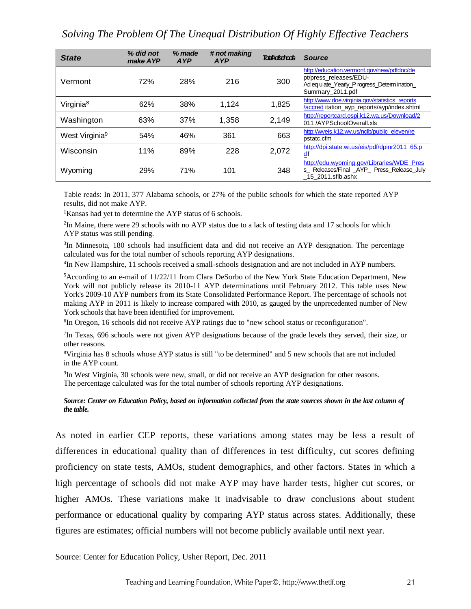| <b>State</b>               | % did not<br>make AYP | % made<br><b>AYP</b> | # not making<br>AYP | <b>Totel#ofschads</b> | <b>Source</b>                                                                                                                           |
|----------------------------|-----------------------|----------------------|---------------------|-----------------------|-----------------------------------------------------------------------------------------------------------------------------------------|
| Vermont                    | 72%                   | 28%                  | 216                 | 300                   | http://education.vermont.gov/new/pdfdoc/de<br>pt/press releases/EDU-<br>Ad eq u ate Yearly P rogress Determ ination<br>Summary_2011.pdf |
| Virginia <sup>8</sup>      | 62%                   | 38%                  | 1,124               | 1,825                 | http://www.doe.virginia.gov/statistics reports<br>/accred itation_ayp_reports/ayp/index.shtml                                           |
| Washington                 | 63%                   | 37%                  | 1,358               | 2,149                 | http://reportcard.ospi.k12.wa.us/Download/2<br>011/AYPSchoolOverall.xls                                                                 |
| West Virginia <sup>9</sup> | 54%                   | 46%                  | 361                 | 663                   | http://wveis.k12.wv.us/nclb/public_eleven/re<br>pstatc.cfm                                                                              |
| Wisconsin                  | 11%                   | 89%                  | 228                 | 2,072                 | http://dpi.state.wi.us/eis/pdf/dpinr2011 65.p<br>$\underline{d}f$                                                                       |
| Wyoming                    | 29%                   | 71%                  | 101                 | 348                   | http://edu.wyoming.gov/Libraries/WDE Pres<br>s_ Releases/Final _AYP_ Press_Release_July<br>15 2011.sflb.ashx                            |

Table reads: In 2011, 377 Alabama schools, or 27% of the public schools for which the state reported AYP results, did not make AYP.

<sup>1</sup>Kansas had yet to determine the AYP status of 6 schools.

<sup>2</sup>In Maine, there were 29 schools with no AYP status due to a lack of testing data and 17 schools for which AYP status was still pending.

<sup>3</sup>In Minnesota, 180 schools had insufficient data and did not receive an AYP designation. The percentage calculated was for the total number of schools reporting AYP designations.

4 In New Hampshire, 11 schools received a small-schools designation and are not included in AYP numbers.

<sup>5</sup>According to an e-mail of 11/22/11 from Clara DeSorbo of the New York State Education Department, New York will not publicly release its 2010-11 AYP determinations until February 2012. This table uses New York's 2009-10 AYP numbers from its State Consolidated Performance Report. The percentage of schools not making AYP in 2011 is likely to increase compared with 2010, as gauged by the unprecedented number of New York schools that have been identified for improvement.

<sup>6</sup>In Oregon, 16 schools did not receive AYP ratings due to "new school status or reconfiguration".

7 In Texas, 696 schools were not given AYP designations because of the grade levels they served, their size, or other reasons.

<sup>8</sup>Virginia has 8 schools whose AYP status is still "to be determined" and 5 new schools that are not included in the AYP count.

9 In West Virginia, 30 schools were new, small, or did not receive an AYP designation for other reasons. The percentage calculated was for the total number of schools reporting AYP designations.

#### *Source: Center on Education Policy, based on information collected from the state sources shown in the last column of the table.*

As noted in earlier CEP reports, these variations among states may be less a result of differences in educational quality than of differences in test difficulty, cut scores defining proficiency on state tests, AMOs, student demographics, and other factors. States in which a high percentage of schools did not make AYP may have harder tests, higher cut scores, or higher AMOs. These variations make it inadvisable to draw conclusions about student performance or educational quality by comparing AYP status across states. Additionally, these figures are estimates; official numbers will not become publicly available until next year.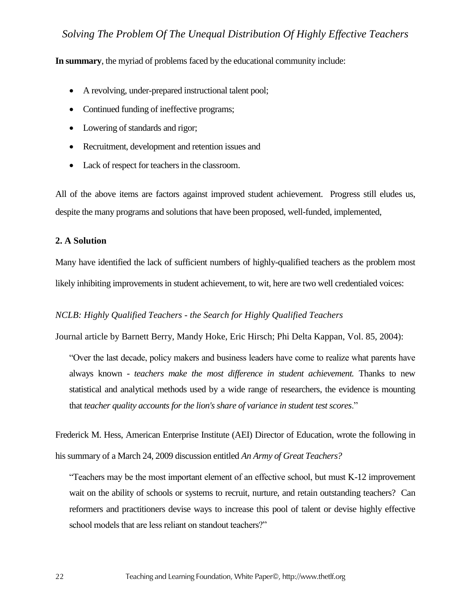**In summary**, the myriad of problems faced by the educational community include:

- A revolving, under-prepared instructional talent pool;
- Continued funding of ineffective programs;
- Lowering of standards and rigor;
- Recruitment, development and retention issues and
- Lack of respect for teachers in the classroom.

All of the above items are factors against improved student achievement. Progress still eludes us, despite the many programs and solutions that have been proposed, well-funded, implemented,

#### **2. A Solution**

Many have identified the lack of sufficient numbers of highly-qualified teachers as the problem most likely inhibiting improvements in student achievement, to wit, here are two well credentialed voices:

#### *NCLB: Highly Qualified Teachers - the Search for Highly Qualified Teachers*

Journal article by Barnett Berry, Mandy Hoke, Eric Hirsch; Phi Delta Kappan, Vol. 85, 2004):

"Over the last decade, policy makers and business leaders have come to realize what parents have always known *- teachers make the most difference in student achievement.* Thanks to new statistical and analytical methods used by a wide range of researchers, the evidence is mounting that *teacher quality accounts for the lion's share of variance in student test scores*."

Frederick M. Hess, American Enterprise Institute (AEI) Director of Education, wrote the following in his summary of a March 24, 2009 discussion entitled *An Army of Great Teachers?*

"Teachers may be the most important element of an effective school, but must K-12 improvement wait on the ability of schools or systems to recruit, nurture, and retain outstanding teachers? Can reformers and practitioners devise ways to increase this pool of talent or devise highly effective school models that are less reliant on standout teachers?"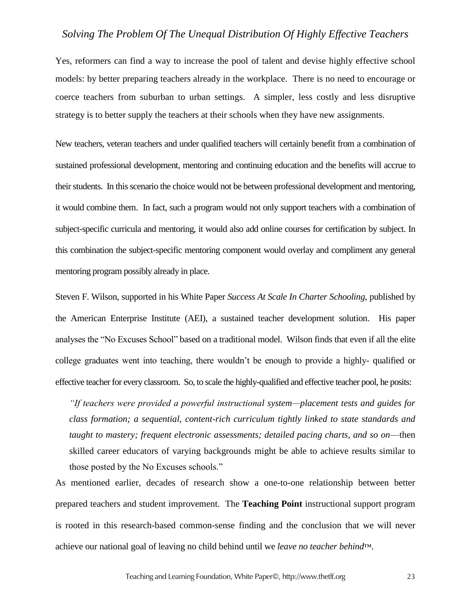Yes, reformers can find a way to increase the pool of talent and devise highly effective school models: by better preparing teachers already in the workplace. There is no need to encourage or coerce teachers from suburban to urban settings. A simpler, less costly and less disruptive strategy is to better supply the teachers at their schools when they have new assignments.

New teachers, veteran teachers and under qualified teachers will certainly benefit from a combination of sustained professional development, mentoring and continuing education and the benefits will accrue to their students. In this scenario the choice would not be between professional development and mentoring, it would combine them. In fact, such a program would not only support teachers with a combination of subject-specific curricula and mentoring, it would also add online courses for certification by subject. In this combination the subject-specific mentoring component would overlay and compliment any general mentoring program possibly already in place.

Steven F. Wilson, supported in his White Paper *Success At Scale In Charter Schooling*, published by the American Enterprise Institute (AEI), a sustained teacher development solution. His paper analyses the "No Excuses School" based on a traditional model. Wilson finds that even if all the elite college graduates went into teaching, there wouldn't be enough to provide a highly- qualified or effective teacher for every classroom. So, to scale the highly-qualified and effective teacher pool, he posits:

*"If teachers were provided a powerful instructional system—placement tests and guides for class formation; a sequential, content-rich curriculum tightly linked to state standards and taught to mastery; frequent electronic assessments; detailed pacing charts, and so on*—then skilled career educators of varying backgrounds might be able to achieve results similar to those posted by the No Excuses schools."

As mentioned earlier, decades of research show a one-to-one relationship between better prepared teachers and student improvement. The **Teaching Point** instructional support program is rooted in this research-based common-sense finding and the conclusion that we will never achieve our national goal of leaving no child behind until we *leave no teacher behind*™.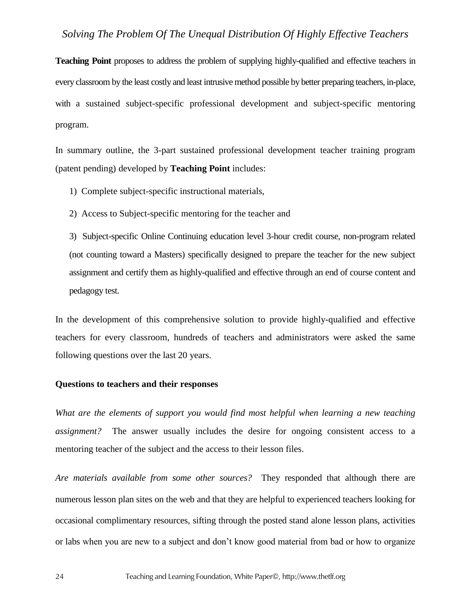**Teaching Point** proposes to address the problem of supplying highly-qualified and effective teachers in every classroom by the least costly and least intrusive method possible by better preparing teachers, in-place, with a sustained subject-specific professional development and subject-specific mentoring program.

In summary outline, the 3-part sustained professional development teacher training program (patent pending) developed by **Teaching Point** includes:

- 1) Complete subject-specific instructional materials,
- 2) Access to Subject-specific mentoring for the teacher and

3) Subject-specific Online Continuing education level 3-hour credit course, non-program related (not counting toward a Masters) specifically designed to prepare the teacher for the new subject assignment and certify them as highly-qualified and effective through an end of course content and pedagogy test.

In the development of this comprehensive solution to provide highly-qualified and effective teachers for every classroom, hundreds of teachers and administrators were asked the same following questions over the last 20 years.

#### **Questions to teachers and their responses**

*What are the elements of support you would find most helpful when learning a new teaching assignment?* The answer usually includes the desire for ongoing consistent access to a mentoring teacher of the subject and the access to their lesson files.

*Are materials available from some other sources?* They responded that although there are numerous lesson plan sites on the web and that they are helpful to experienced teachers looking for occasional complimentary resources, sifting through the posted stand alone lesson plans, activities or labs when you are new to a subject and don't know good material from bad or how to organize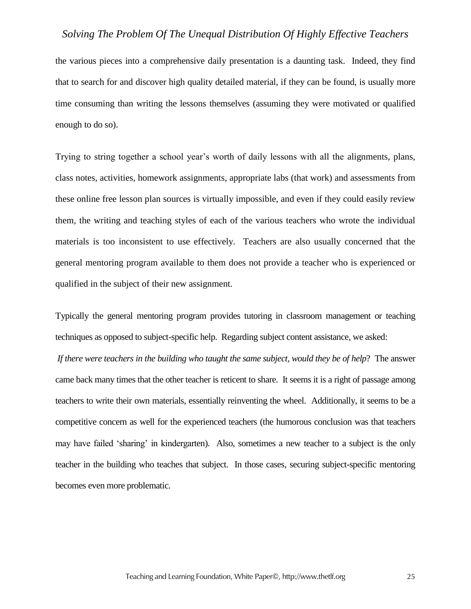the various pieces into a comprehensive daily presentation is a daunting task. Indeed, they find that to search for and discover high quality detailed material, if they can be found, is usually more time consuming than writing the lessons themselves (assuming they were motivated or qualified enough to do so).

Trying to string together a school year's worth of daily lessons with all the alignments, plans, class notes, activities, homework assignments, appropriate labs (that work) and assessments from these online free lesson plan sources is virtually impossible, and even if they could easily review them, the writing and teaching styles of each of the various teachers who wrote the individual materials is too inconsistent to use effectively. Teachers are also usually concerned that the general mentoring program available to them does not provide a teacher who is experienced or qualified in the subject of their new assignment.

Typically the general mentoring program provides tutoring in classroom management or teaching techniques as opposed to subject-specific help. Regarding subject content assistance, we asked:

*If there were teachers in the building who taught the same subject, would they be of help*? The answer came back many times that the other teacher is reticent to share. It seems it is a right of passage among teachers to write their own materials, essentially reinventing the wheel. Additionally, it seems to be a competitive concern as well for the experienced teachers (the humorous conclusion was that teachers may have failed 'sharing' in kindergarten). Also, sometimes a new teacher to a subject is the only teacher in the building who teaches that subject. In those cases, securing subject-specific mentoring becomes even more problematic.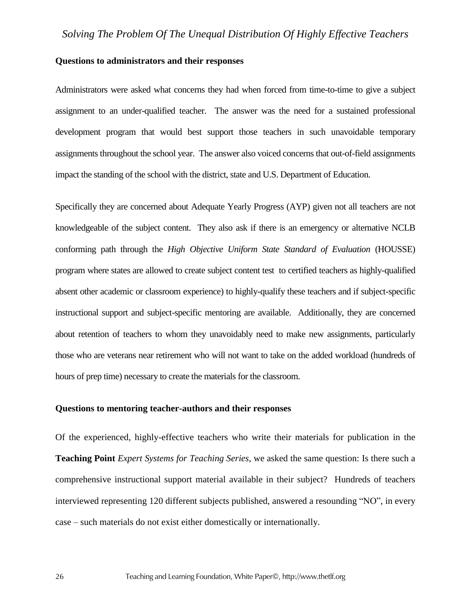#### **Questions to administrators and their responses**

Administrators were asked what concerns they had when forced from time-to-time to give a subject assignment to an under-qualified teacher. The answer was the need for a sustained professional development program that would best support those teachers in such unavoidable temporary assignments throughout the school year. The answer also voiced concerns that out-of-field assignments impact the standing of the school with the district, state and U.S. Department of Education.

Specifically they are concerned about Adequate Yearly Progress (AYP) given not all teachers are not knowledgeable of the subject content. They also ask if there is an emergency or alternative NCLB conforming path through the *High Objective Uniform State Standard of Evaluation* (HOUSSE) program where states are allowed to create subject content test to certified teachers as highly-qualified absent other academic or classroom experience) to highly-qualify these teachers and if subject-specific instructional support and subject-specific mentoring are available. Additionally, they are concerned about retention of teachers to whom they unavoidably need to make new assignments, particularly those who are veterans near retirement who will not want to take on the added workload (hundreds of hours of prep time) necessary to create the materials for the classroom.

#### **Questions to mentoring teacher-authors and their responses**

Of the experienced, highly-effective teachers who write their materials for publication in the **Teaching Point** *Expert Systems for Teaching Series*, we asked the same question: Is there such a comprehensive instructional support material available in their subject? Hundreds of teachers interviewed representing 120 different subjects published, answered a resounding "NO", in every case – such materials do not exist either domestically or internationally.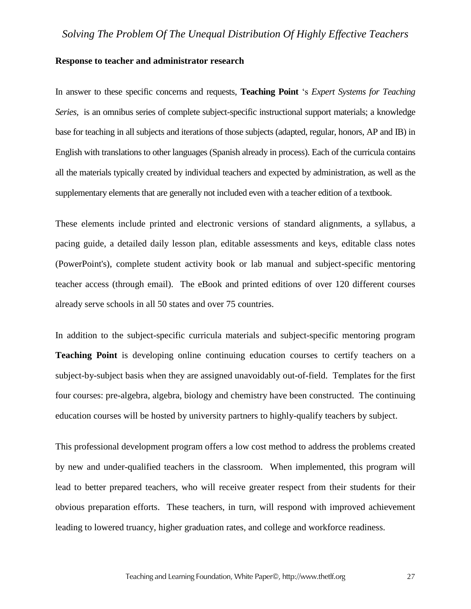#### **Response to teacher and administrator research**

In answer to these specific concerns and requests, **Teaching Point** 's *Expert Systems for Teaching Series,* is an omnibus series of complete subject-specific instructional support materials; a knowledge base for teaching in all subjects and iterations of those subjects (adapted, regular, honors, AP and IB) in English with translations to other languages (Spanish already in process). Each of the curricula contains all the materials typically created by individual teachers and expected by administration, as well as the supplementary elements that are generally not included even with a teacher edition of a textbook.

These elements include printed and electronic versions of standard alignments, a syllabus, a pacing guide, a detailed daily lesson plan, editable assessments and keys, editable class notes (PowerPoint's), complete student activity book or lab manual and subject-specific mentoring teacher access (through email). The eBook and printed editions of over 120 different courses already serve schools in all 50 states and over 75 countries.

In addition to the subject-specific curricula materials and subject-specific mentoring program **Teaching Point** is developing online continuing education courses to certify teachers on a subject-by-subject basis when they are assigned unavoidably out-of-field. Templates for the first four courses: pre-algebra, algebra, biology and chemistry have been constructed. The continuing education courses will be hosted by university partners to highly-qualify teachers by subject.

This professional development program offers a low cost method to address the problems created by new and under-qualified teachers in the classroom. When implemented, this program will lead to better prepared teachers, who will receive greater respect from their students for their obvious preparation efforts. These teachers, in turn, will respond with improved achievement leading to lowered truancy, higher graduation rates, and college and workforce readiness.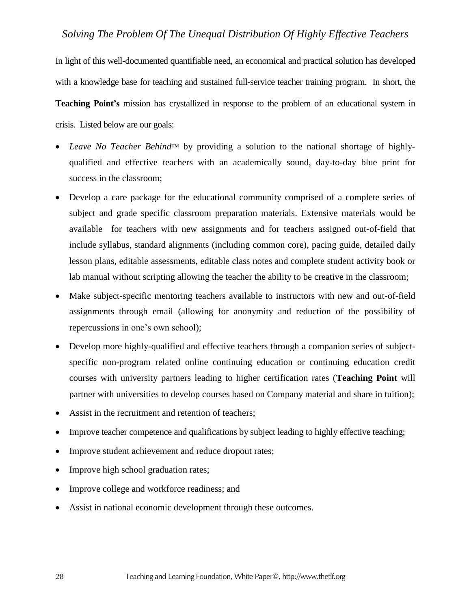In light of this well-documented quantifiable need, an economical and practical solution has developed with a knowledge base for teaching and sustained full-service teacher training program. In short, the **Teaching Point's** mission has crystallized in response to the problem of an educational system in crisis. Listed below are our goals:

- *Leave No Teacher Behind*™ by providing a solution to the national shortage of highlyqualified and effective teachers with an academically sound, day-to-day blue print for success in the classroom;
- Develop a care package for the educational community comprised of a complete series of subject and grade specific classroom preparation materials. Extensive materials would be available for teachers with new assignments and for teachers assigned out-of-field that include syllabus, standard alignments (including common core), pacing guide, detailed daily lesson plans, editable assessments, editable class notes and complete student activity book or lab manual without scripting allowing the teacher the ability to be creative in the classroom;
- Make subject-specific mentoring teachers available to instructors with new and out-of-field assignments through email (allowing for anonymity and reduction of the possibility of repercussions in one's own school);
- Develop more highly-qualified and effective teachers through a companion series of subjectspecific non-program related online continuing education or continuing education credit courses with university partners leading to higher certification rates (**Teaching Point** will partner with universities to develop courses based on Company material and share in tuition);
- Assist in the recruitment and retention of teachers;
- Improve teacher competence and qualifications by subject leading to highly effective teaching;
- Improve student achievement and reduce dropout rates;
- Improve high school graduation rates;
- Improve college and workforce readiness; and
- Assist in national economic development through these outcomes.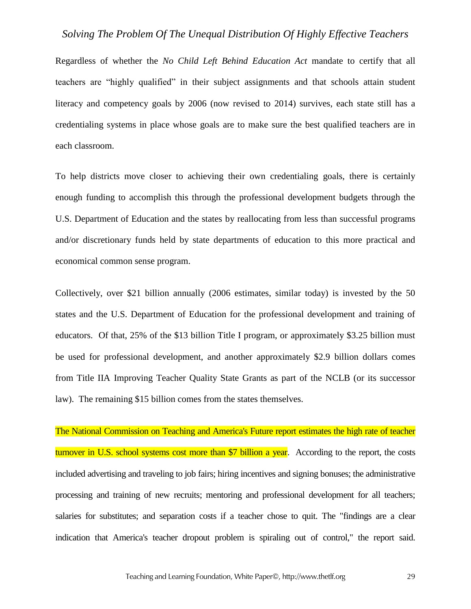Regardless of whether the *No Child Left Behind Education Act* mandate to certify that all teachers are "highly qualified" in their subject assignments and that schools attain student literacy and competency goals by 2006 (now revised to 2014) survives, each state still has a credentialing systems in place whose goals are to make sure the best qualified teachers are in each classroom.

To help districts move closer to achieving their own credentialing goals, there is certainly enough funding to accomplish this through the professional development budgets through the U.S. Department of Education and the states by reallocating from less than successful programs and/or discretionary funds held by state departments of education to this more practical and economical common sense program.

Collectively, over \$21 billion annually (2006 estimates, similar today) is invested by the 50 states and the U.S. Department of Education for the professional development and training of educators. Of that, 25% of the \$13 billion Title I program, or approximately \$3.25 billion must be used for professional development, and another approximately \$2.9 billion dollars comes from Title IIA Improving Teacher Quality State Grants as part of the NCLB (or its successor law). The remaining \$15 billion comes from the states themselves.

The National Commission on Teaching and America's Future report estimates the high rate of teacher turnover in U.S. school systems cost more than \$7 billion a year. According to the report, the costs included advertising and traveling to job fairs; hiring incentives and signing bonuses; the administrative processing and training of new recruits; mentoring and professional development for all teachers; salaries for substitutes; and separation costs if a teacher chose to quit. The "findings are a clear indication that America's teacher dropout problem is spiraling out of control," the report said.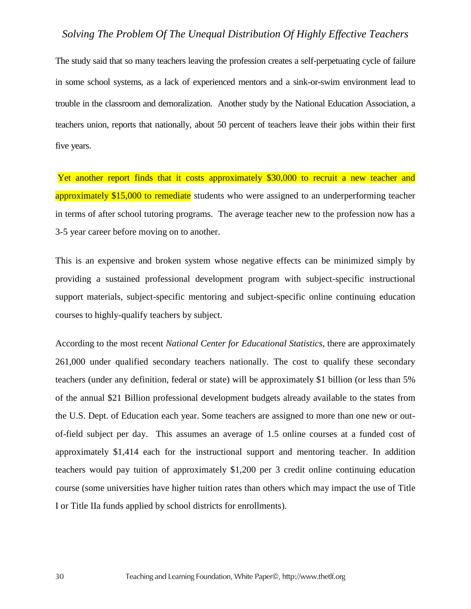The study said that so many teachers leaving the profession creates a self-perpetuating cycle of failure in some school systems, as a lack of experienced mentors and a sink-or-swim environment lead to trouble in the classroom and demoralization. Another study by the National Education Association, a teachers union, reports that nationally, about 50 percent of teachers leave their jobs within their first five years.

Yet another report finds that it costs approximately \$30,000 to recruit a new teacher and approximately \$15,000 to remediate students who were assigned to an underperforming teacher in terms of after school tutoring programs. The average teacher new to the profession now has a 3-5 year career before moving on to another.

This is an expensive and broken system whose negative effects can be minimized simply by providing a sustained professional development program with subject-specific instructional support materials, subject-specific mentoring and subject-specific online continuing education courses to highly-qualify teachers by subject.

According to the most recent *National Center for Educational Statistics*, there are approximately 261,000 under qualified secondary teachers nationally. The cost to qualify these secondary teachers (under any definition, federal or state) will be approximately \$1 billion (or less than 5% of the annual \$21 Billion professional development budgets already available to the states from the U.S. Dept. of Education each year. Some teachers are assigned to more than one new or outof-field subject per day. This assumes an average of 1.5 online courses at a funded cost of approximately \$1,414 each for the instructional support and mentoring teacher. In addition teachers would pay tuition of approximately \$1,200 per 3 credit online continuing education course (some universities have higher tuition rates than others which may impact the use of Title I or Title IIa funds applied by school districts for enrollments).